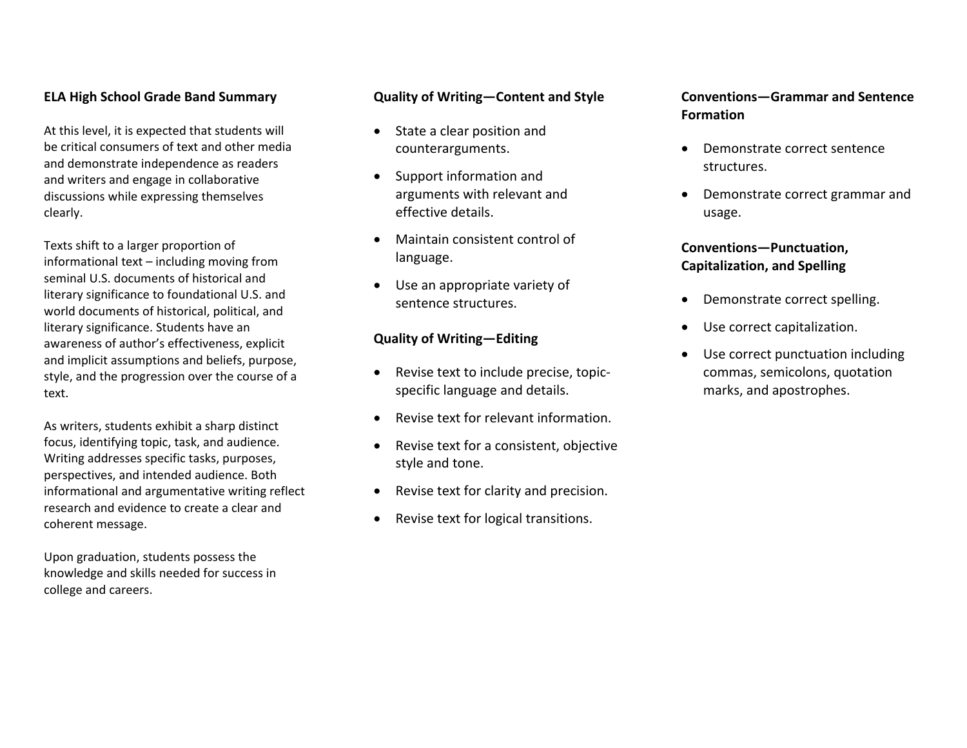#### **ELA High School Grade Band Summary**

At this level, it is expected that students will be critical consumers of text and other media and demonstrate independence as readers and writers and engage in collaborative discussions while expressing themselves clearly.

Texts shift to <sup>a</sup> larger proportion of informational text – including moving from seminal U.S. documents of historical andliterary significance to foundational U.S. and world documents of historical, political, and literary significance. Students have an awareness of author's effectiveness, explicit and implicit assumptions and beliefs, purpose, style, and the progression over the course of <sup>a</sup> text.

As writers, students exhibit <sup>a</sup> sharp distinct focus, identifying topic, task, and audience. Writing addresses specific tasks, purposes, perspectives, and intended audience. Both informational and argumentative writing reflect research and evidence to create <sup>a</sup> clear and coherent message.

Upon graduation, students possess the knowledge and skills needed for success in college and careers.

#### **Quality of Writing—Content and Style**

- State a clear position and counterarguments.
- $\bullet$  Support information and arguments with relevant and effective details.
- Maintain consistent control of language.
- Use an appropriate variety of sentence structures.

#### **Quality of Writing—Editing**

- Revise text to include precise, topicspecific language and details.
- Revise text for relevant information.
- . • Revise text for a consistent, objective style and tone.
- $\bullet$ Revise text for clarity and precision.
- . Revise text for logical transitions.

## **Conventions—Grammar and Sentence Formation**

- Demonstrate correct sentence structures.
- Demonstrate correct grammar and usage.

#### **Conventions—Punctuation, Capitalization, and Spelling**

- Demonstrate correct spelling.
- $\bullet$ Use correct capitalization.
- $\bullet$  Use correct punctuation including commas, semicolons, quotation marks, and apostrophes.